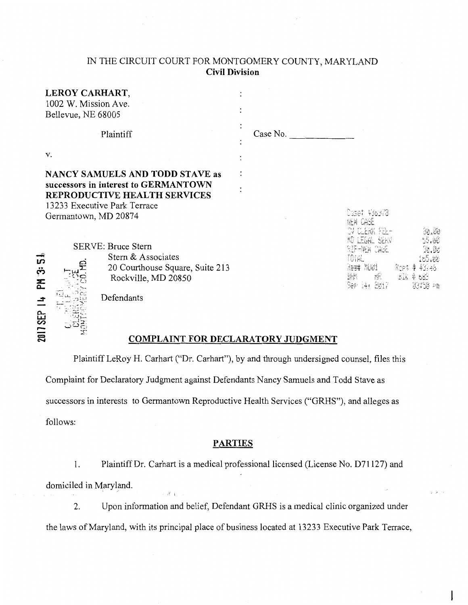# IN THE CIRCUIT COURT FOR MONTGOMERY COUNTY, MARYLAND **Civil Division**

|                          | LEROY CARHART,<br>1002 W. Mission Ave.<br>Bellevue, NE 68005                                                                                                           |                                                                                                           |          |                                               |                              |
|--------------------------|------------------------------------------------------------------------------------------------------------------------------------------------------------------------|-----------------------------------------------------------------------------------------------------------|----------|-----------------------------------------------|------------------------------|
|                          | Plaintiff                                                                                                                                                              |                                                                                                           | Case No. |                                               |                              |
|                          | V.                                                                                                                                                                     |                                                                                                           |          |                                               |                              |
|                          | <b>NANCY SAMUELS AND TODD STAVE as</b><br>successors in interest to GERMANTOWN<br>REPRODUCTIVE HEALTH SERVICES<br>13233 Executive Park Terrace<br>Germantown, MD 20874 |                                                                                                           |          | Caset 436370                                  | 58.85                        |
| S<br>ڔۑ<br>준<br>2017 SEP |                                                                                                                                                                        | <b>SERVE: Bruce Stern</b><br>Stern & Associates<br>20 Courthouse Square, Suite 213<br>Rockville, MD 20850 |          | UHAL<br>key# Mi@i<br>操。<br>操制<br>Ser i4, 2017 | S.W<br>- Elk & 683<br>USE PB |
|                          |                                                                                                                                                                        | Defendants<br><b>COMPLAINT FOR DECLARATORY JUDGMENT</b>                                                   |          |                                               |                              |

## **COMPLAINT FOR DECLARATORY JUDGMENT**

Plaintiff LeRoy H. Carhart ("Dr. Carhart"), by and through undersigned counsel, files this Complaint for Declaratory Judgment against Defendants Nancy Samuels and Todd Stave as successors in interests to Germantown Reproductive Health Services ("GRHS"), and alleges as follows:

#### **PARTIES**

1. Plaintiff Dr. Carhart is a medical professional licensed (License No. D71127) and domiciled in Maryland.

2. Upon information and belief, Defendant GRHS is a medical clinic organized under the laws of Maryland, with its principal place of business located at 13233 Executive Park Terrace,

ļ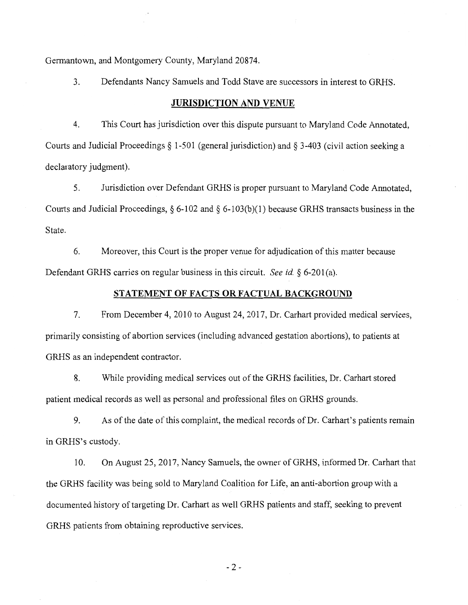Germantown, and Montgomery County, Maryland 20874.

3. Defendants Nancy Samuels and Todd Stave are successors in interest to GRHS.

### **JURISDICTION AND VENUE**

4. This Court has jurisdiction over this dispute pursuant to Maryland Code Annotated, Courts and Judicial Proceedings § 1-501 (general jurisdiction) and § 3-403 (civil action seeking a declaratory judgment).

5. Jurisdiction over Defendant GRHS is proper pursuant to Maryland Code Annotated, Courts and Judicial Proceedings,  $\S 6$ -102 and  $\S 6$ -103(b)(1) because GRHS transacts business in the State.

6. Moreover, this Court is the proper venue for adjudication of this matter because Defendant GRHS carries on regular business in this circuit. *See id.* § 6-201 (a).

#### **STATEMENT OF FACTS OR FACTUAL BACKGROUND**

7. From December 4, 2010 to August 24,2017, Dr. Carhart provided medical services, primarily consisting of abortion services (including advanced gestation abortions), to patients at GRHS as an independent contractor.

8. While providing medical services out of the GRHS facilities, Dr. Carhart stored patient medical records as well as personal and professional files on GRHS grounds.

9. As of the date ofthis complaint, the medical records of Dr. Carhart's patients remain in GRHS's custody.

10. On August 25, 2017, Nancy Samuels, the owner of GRHS, informed Dr. Carhart that the GRHS facility was being sold to Maryland Coalition for Life, an anti-abortion group with a documented history of targeting Dr. Carhart as well GRHS patients and staff, seeking to prevent GRHS patients from obtaining reproductive services.

- 2-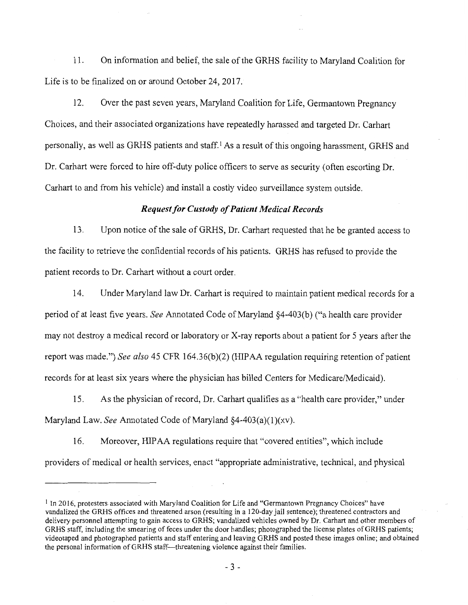11. On information and belief, the sale of the GRHS facility to Maryland Coalition for Life is to be finalized on or around October 24, 2017.

12. Over the past seven years, Maryland Coalition for Life, Germantown Pregnancy Choices, and their associated organizations have repeatedly harassed and targeted Dr. Carhart personally, as well as GRHS patients and staff. I As a result of this ongoing harassment, GRHS and Dr. Carhart were forced to hire off-duty police officers to serve as security (often escorting Dr. Carhart to and from his vehicle) and install a costly video surveillance system outside.

#### *Request for Custody of Patient Medical Records*

13. Upon notice of the sale of GRHS, Dr. Carhart requested that he be granted access to the facility to retrieve the confidential records of his patients. GRHS has refused to provide the patient records to Dr. Carhart without a court order.

14. Under Maryland law Dr. Carhart is required to maintain patient medical records for a period of at least five years. *See* Annotated Code of Maryland §4-403(b) ("a health care provider may not destroy a medical record or laboratory or X-ray reports about a patient for 5 years after the report was made.") *See also* 45 CFR 164.36(b)(2) (HIPAA regulation requiring retention of patient records for at least six years where the physician has billed Centers for Medicare/Medicaid).

15. As the physician of record, Dr. Carhart qualifies as a "health care provider," under Maryland Law. *See* Annotated Code of Maryland §4-403(a)(l)(xv).

16. Moreover, HIP AA regulations require that "covered entities", which include providers of medical or health services, enact "appropriate administrative, technical, and physical

<sup>&</sup>lt;sup>1</sup> In 2016, protesters associated with Maryland Coalition for Life and "Germantown Pregnancy Choices" have vandalized the GRHS offices and threatened arson (resulting in a 120-day jail sentence); threatened contractors and delivery personnel attempting to gain access to GRHS; vandalized vehicles owned by Dr. Carhart and other members of GRHS staff, including the smearing of feces under the door handles; photographed the license plates ofGRHS patients; videotaped and photographed patients and staff entering and leaving GRHS and posted these images online; and obtained the personal information of GRHS staff-threatening violence against their families.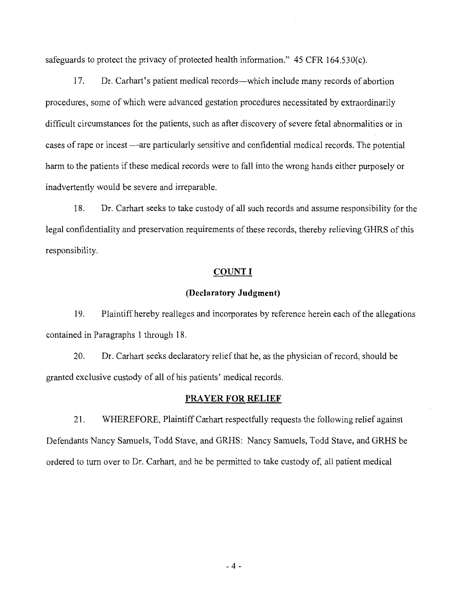safeguards to protect the privacy of protected health information." 45 CFR 164.530(c).

17. Dr. Carhart's patient medical records-which include many records of abortion procedures, some of which were advanced gestation procedures necessitated by extraordinarily difficult circumstances for the patients, such as after discovery of severe fetal abnormalities or in cases of rape or incest —are particularly sensitive and confidential medical records. The potential harm to the patients if these medical records were to fall into the wrong hands either purposely or inadvertently would be severe and irreparable.

18. Dr. Carhart seeks to take custody of all such records and assume responsibility for the legal confidentiality and preservation requirements of these records, thereby relieving GHRS of this responsibility.

#### **COUNT I**

#### **(Declaratory Judgment)**

19. Plaintiff hereby realleges and incorporates by reference herein each of the allegations contained in Paragraphs 1 through 18.

20. Dr. Carhart seeks declaratory relief that he, as the physician of record, should be granted exclusive custody of all of his patients' medical records.

#### **PRAYER FOR RELIEF**

21. WHEREFORE, Plaintiff Carhart respectfully requests the following relief against Defendants Nancy Samuels, Todd Stave, and GRHS: Nancy Samuels, Todd Stave, and GRHS be ordered to tum over to Dr. Carhart, and he be permitted to take custody of, all patient medical

 $-4-$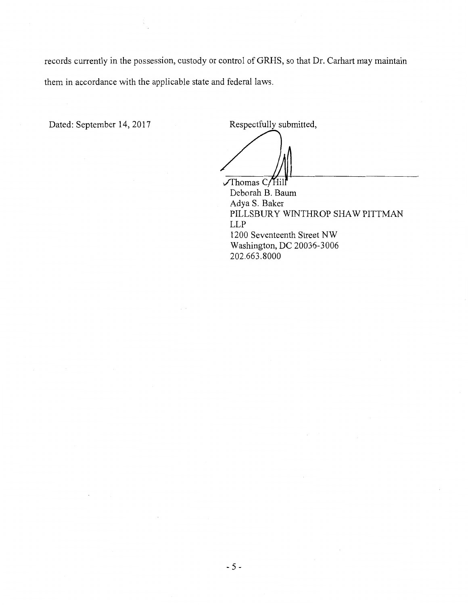records currently in the possession, custody or control of GRHS, so that Dr. Carhart may maintain them in accordance with the applicable state and federal laws.

Dated: September 14, 2017 Respectfully submitted,

 $\sqrt{\text{Thomas C/Hill}}$ Deborah B. Baum Adya S. Baker PILLSBURY WINTHROP SHAW PITTMAN LLP 1200 Seventeenth Street NW Washington, DC 20036-3006 202.663.8000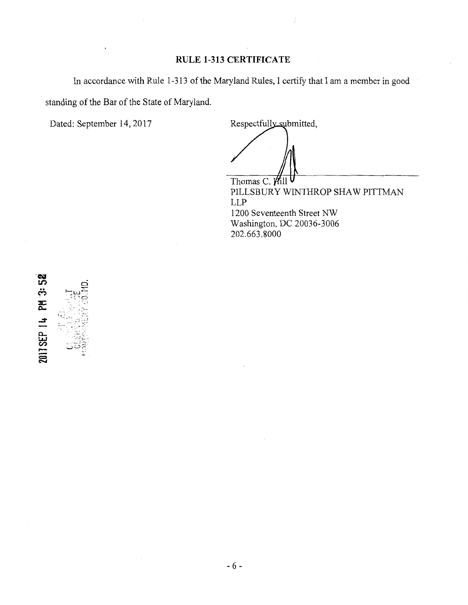### **RULE 1-313 CERTIFICATE**

In accordance with Rule 1-313 of the Maryland Rules, I certify that I am a member in good standing of the Bar of the State of Maryland.

Dated: September 14, 2017

Respectfully submitted,

Thomas C. Hill PILLSBURY WINTHROP SHAW PITTMAN LLP 1200 Seventeenth Street NW Washington, DC 20036-3006 202.663.8000